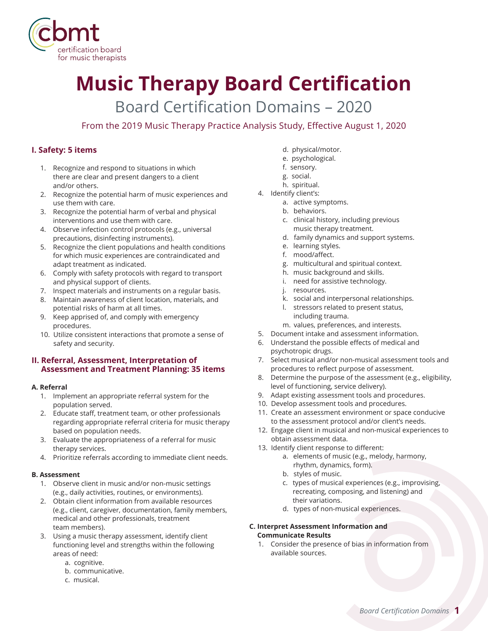

# **Music Therapy Board Certification**

Board Certification Domains – 2020

From the 2019 Music Therapy Practice Analysis Study, Effective August 1, 2020

# **I. Safety: 5 items**

- 1. Recognize and respond to situations in which there are clear and present dangers to a client and/or others.
- 2. Recognize the potential harm of music experiences and use them with care.
- 3. Recognize the potential harm of verbal and physical interventions and use them with care.
- 4. Observe infection control protocols (e.g., universal precautions, disinfecting instruments).
- 5. Recognize the client populations and health conditions for which music experiences are contraindicated and adapt treatment as indicated.
- 6. Comply with safety protocols with regard to transport and physical support of clients.
- 7. Inspect materials and instruments on a regular basis.
- 8. Maintain awareness of client location, materials, and potential risks of harm at all times.
- 9. Keep apprised of, and comply with emergency procedures.
- 10. Utilize consistent interactions that promote a sense of safety and security.

## **II. Referral, Assessment, Interpretation of Assessment and Treatment Planning: 35 items**

## **A. Referral**

- 1. Implement an appropriate referral system for the population served.
- 2. Educate staff, treatment team, or other professionals regarding appropriate referral criteria for music therapy based on population needs.
- 3. Evaluate the appropriateness of a referral for music therapy services.
- 4. Prioritize referrals according to immediate client needs.

## **B. Assessment**

- 1. Observe client in music and/or non-music settings (e.g., daily activities, routines, or environments).
- 2. Obtain client information from available resources (e.g., client, caregiver, documentation, family members, medical and other professionals, treatment team members).
- 3. Using a music therapy assessment, identify client functioning level and strengths within the following areas of need:
	- a. cognitive.
	- b. communicative.
	- c. musical.
- d. physical/motor.
- e. psychological.
- f. sensory.
- g. social.
- h. spiritual.
- 4. Identify client's:
	- a. active symptoms.
	- b. behaviors.
	- c. clinical history, including previous music therapy treatment.
	- d. family dynamics and support systems.
	- e. learning styles.
	- f. mood/affect.
	- g. multicultural and spiritual context.
	- h. music background and skills.
	- i. need for assistive technology.
	- j. resources.
	- k. social and interpersonal relationships.
	- l. stressors related to present status, including trauma.
	- m. values, preferences, and interests.
- 5. Document intake and assessment information.
- 6. Understand the possible effects of medical and psychotropic drugs.
- 7. Select musical and/or non-musical assessment tools and procedures to reflect purpose of assessment.
- 8. Determine the purpose of the assessment (e.g., eligibility, level of functioning, service delivery).
- 9. Adapt existing assessment tools and procedures.
- 10. Develop assessment tools and procedures.
- 11. Create an assessment environment or space conducive to the assessment protocol and/or client's needs.
- 12. Engage client in musical and non-musical experiences to obtain assessment data.
- 13. Identify client response to different:
	- a. elements of music (e.g., melody, harmony, rhythm, dynamics, form).
	- b. styles of music.
	- c. types of musical experiences (e.g., improvising, recreating, composing, and listening) and their variations.
	- d. types of non-musical experiences.

## **C. Interpret Assessment Information and Communicate Results**

 1. Consider the presence of bias in information from available sources.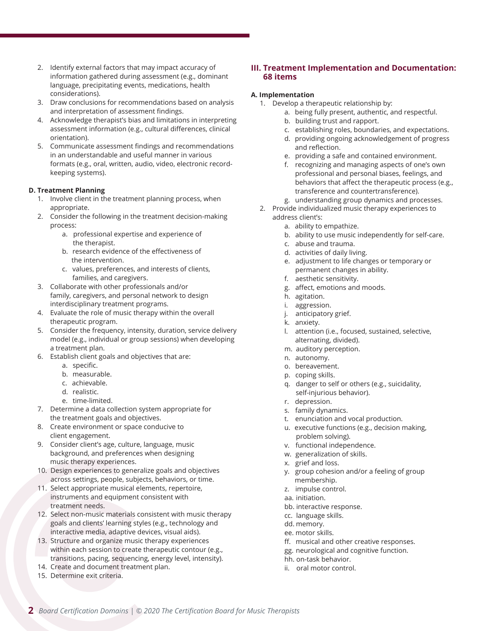- 2. Identify external factors that may impact accuracy of information gathered during assessment (e.g., dominant language, precipitating events, medications, health considerations).
- 3. Draw conclusions for recommendations based on analysis and interpretation of assessment findings.
- 4. Acknowledge therapist's bias and limitations in interpreting assessment information (e.g., cultural differences, clinical orientation).
- 5. Communicate assessment findings and recommendations in an understandable and useful manner in various formats (e.g., oral, written, audio, video, electronic recordkeeping systems).

#### **D. Treatment Planning**

- 1. Involve client in the treatment planning process, when appropriate.
- 2. Consider the following in the treatment decision-making process:
	- a. professional expertise and experience of the therapist.
	- b. research evidence of the effectiveness of the intervention.
	- c. values, preferences, and interests of clients, families, and caregivers.
- 3. Collaborate with other professionals and/or family, caregivers, and personal network to design interdisciplinary treatment programs.
- 4. Evaluate the role of music therapy within the overall therapeutic program.
- 5. Consider the frequency, intensity, duration, service delivery model (e.g., individual or group sessions) when developing a treatment plan.
- 6. Establish client goals and objectives that are:
	- a. specific.
	- b. measurable.
	- c. achievable.
	- d. realistic.
	- e. time-limited.
- 7. Determine a data collection system appropriate for the treatment goals and objectives.
- 8. Create environment or space conducive to client engagement.
- 9. Consider client's age, culture, language, music background, and preferences when designing music therapy experiences.
- 10. Design experiences to generalize goals and objectives across settings, people, subjects, behaviors, or time.
- 11. Select appropriate musical elements, repertoire, instruments and equipment consistent with treatment needs.
- 12. Select non-music materials consistent with music therapy goals and clients' learning styles (e.g., technology and interactive media, adaptive devices, visual aids).
- 13. Structure and organize music therapy experiences within each session to create therapeutic contour (e.g., transitions, pacing, sequencing, energy level, intensity).
- 14. Create and document treatment plan.
- 15. Determine exit criteria.

## **III. Treatment Implementation and Documentation: 68 items**

#### **A. Implementation**

- 1. Develop a therapeutic relationship by:
	- a. being fully present, authentic, and respectful.
	- b. building trust and rapport.
	- c. establishing roles, boundaries, and expectations.
	- d. providing ongoing acknowledgement of progress and reflection.
	- e. providing a safe and contained environment.
	- f. recognizing and managing aspects of one's own professional and personal biases, feelings, and behaviors that affect the therapeutic process (e.g., transference and countertransference).
	- g. understanding group dynamics and processes.
- 2. Provide individualized music therapy experiences to address client's:
	- a. ability to empathize.
	- b. ability to use music independently for self-care.
	- c. abuse and trauma.
	- d. activities of daily living.
	- e. adjustment to life changes or temporary or permanent changes in ability.
	- f. aesthetic sensitivity.
	- g. affect, emotions and moods.
	- h. agitation.
	- i. aggression.
	- j. anticipatory grief.
	- k. anxiety.
	- l. attention (i.e., focused, sustained, selective, alternating, divided).
	- m. auditory perception.
	- n. autonomy.
	- o. bereavement.
	- p. coping skills.
	- q. danger to self or others (e.g., suicidality, self-injurious behavior).
	- r. depression.
	- s. family dynamics.
	- t. enunciation and vocal production.
	- u. executive functions (e.g., decision making, problem solving).
	- v. functional independence.
	- w. generalization of skills.
	- x. grief and loss.
	- y. group cohesion and/or a feeling of group membership.
	- z. impulse control.
	- aa. initiation.
	- bb. interactive response.
	- cc. language skills.
	- dd. memory.
	- ee. motor skills.
	- ff. musical and other creative responses.
	- gg. neurological and cognitive function.
	- hh. on-task behavior.
	- ii. oral motor control.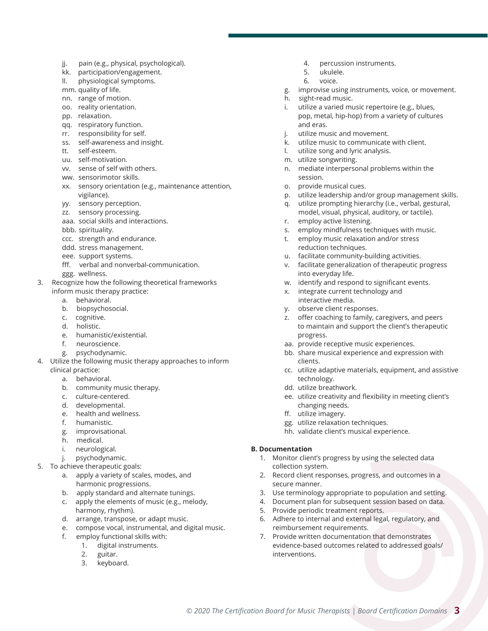- jj. pain (e.g., physical, psychological).
- kk. participation/engagement.
- ll. physiological symptoms.
- mm. quality of life.
- nn. range of motion.
- oo. reality orientation.
- pp. relaxation.
- qq. respiratory function.
- rr. responsibility for self.
- ss. self-awareness and insight.
- tt. self-esteem.
- uu. self-motivation.
- vv. sense of self with others.
- ww. sensorimotor skills.
- xx. sensory orientation (e.g., maintenance attention, vigilance).
- yy. sensory perception.
- zz. sensory processing.
- aaa. social skills and interactions.
- bbb. spirituality.
- ccc. strength and endurance.
- ddd. stress management.
- eee. support systems.
- fff. verbal and nonverbal-communication.
- ggg. wellness.
- 3. Recognize how the following theoretical frameworks inform music therapy practice:
	- a. behavioral.
	- b. biopsychosocial.
	- c. cognitive.
	- d. holistic.
	- e. humanistic/existential.
	- f. neuroscience.
	- g. psychodynamic.
- 4. Utilize the following music therapy approaches to inform clinical practice:
	- a. behavioral.
	- b. community music therapy.
	- c. culture-centered.
	- d. developmental.
	- e. health and wellness.
	- f. humanistic.
	- g. improvisational.
	- h. medical.
	- i. neurological.
	- j. psychodynamic.
- 5. To achieve therapeutic goals:
	- a. apply a variety of scales, modes, and harmonic progressions.
	- b. apply standard and alternate tunings.
	- c. apply the elements of music (e.g., melody, harmony, rhythm).
	- d. arrange, transpose, or adapt music.
	- e. compose vocal, instrumental, and digital music.
	- f. employ functional skills with:
		- 1. digital instruments.
		- 2. guitar.
		- 3. keyboard.
- 4. percussion instruments.
- 5. ukulele.
- 6. voice.
- g. improvise using instruments, voice, or movement.
- h. sight-read music.
- i. utilize a varied music repertoire (e.g., blues, pop, metal, hip-hop) from a variety of cultures and eras.
- utilize music and movement.
- k. utilize music to communicate with client.
- l. utilize song and lyric analysis.
- m. utilize songwriting.
- n. mediate interpersonal problems within the session.
- o. provide musical cues.
- p. utilize leadership and/or group management skills.
- q. utilize prompting hierarchy (i.e., verbal, gestural, model, visual, physical, auditory, or tactile). r. employ active listening.
- 
- s. employ mindfulness techniques with music. t. employ music relaxation and/or stress
- reduction techniques. u. facilitate community-building activities.
- v. facilitate generalization of therapeutic progress
- into everyday life.
- w. identify and respond to significant events.
- x. integrate current technology and interactive media.
- y. observe client responses.
- z. offer coaching to family, caregivers, and peers to maintain and support the client's therapeutic progress.
- aa. provide receptive music experiences.
- bb. share musical experience and expression with clients.
- cc. utilize adaptive materials, equipment, and assistive technology.
- dd. utilize breathwork.
- ee. utilize creativity and flexibility in meeting client's changing needs.
- ff. utilize imagery.
- gg. utilize relaxation techniques.
- hh. validate client's musical experience.

## **B. Documentation**

- 1. Monitor client's progress by using the selected data collection system.
- 2. Record client responses, progress, and outcomes in a secure manner.
- 3. Use terminology appropriate to population and setting.
- 4. Document plan for subsequent session based on data.
- 5. Provide periodic treatment reports.
- 6. Adhere to internal and external legal, regulatory, and reimbursement requirements.
- 7. Provide written documentation that demonstrates evidence-based outcomes related to addressed goals/ interventions.